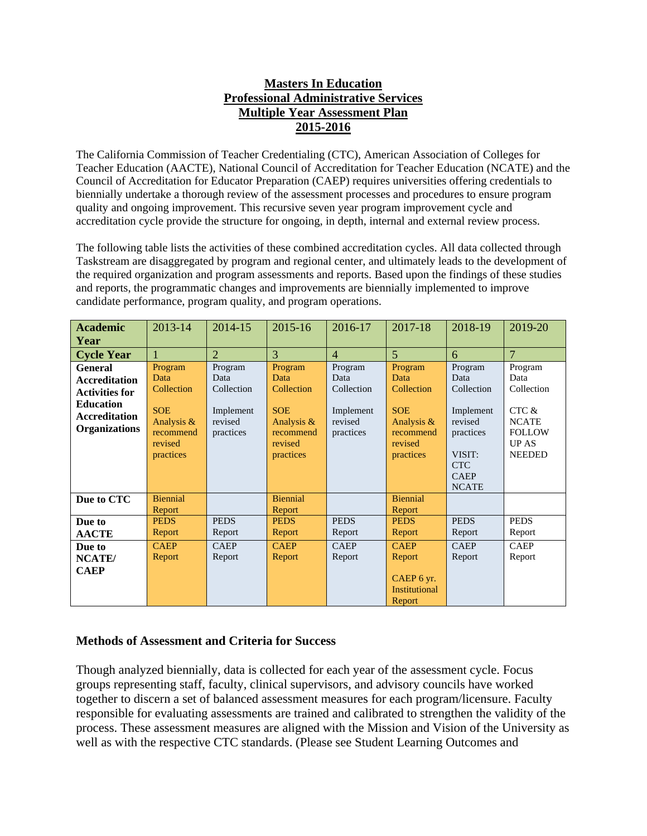## **Masters In Education Professional Administrative Services Multiple Year Assessment Plan 2015-2016**

The California Commission of Teacher Credentialing (CTC), American Association of Colleges for Teacher Education (AACTE), National Council of Accreditation for Teacher Education (NCATE) and the Council of Accreditation for Educator Preparation (CAEP) requires universities offering credentials to biennially undertake a thorough review of the assessment processes and procedures to ensure program quality and ongoing improvement. This recursive seven year program improvement cycle and accreditation cycle provide the structure for ongoing, in depth, internal and external review process.

The following table lists the activities of these combined accreditation cycles. All data collected through Taskstream are disaggregated by program and regional center, and ultimately leads to the development of the required organization and program assessments and reports. Based upon the findings of these studies and reports, the programmatic changes and improvements are biennially implemented to improve candidate performance, program quality, and program operations.

| <b>Academic</b>                                                                                                                     | 2013-14                                                                                        | 2014-15                                                            | 2015-16                                                                                        | 2016-17                                                            | 2017-18                                                                                        | 2018-19                                                                                                                   | 2019-20                                                                                                  |
|-------------------------------------------------------------------------------------------------------------------------------------|------------------------------------------------------------------------------------------------|--------------------------------------------------------------------|------------------------------------------------------------------------------------------------|--------------------------------------------------------------------|------------------------------------------------------------------------------------------------|---------------------------------------------------------------------------------------------------------------------------|----------------------------------------------------------------------------------------------------------|
| Year                                                                                                                                |                                                                                                |                                                                    |                                                                                                |                                                                    |                                                                                                |                                                                                                                           |                                                                                                          |
| <b>Cycle Year</b>                                                                                                                   |                                                                                                | $\overline{2}$                                                     | 3                                                                                              | $\overline{4}$                                                     | $\overline{5}$                                                                                 | 6                                                                                                                         | $\overline{7}$                                                                                           |
| <b>General</b><br><b>Accreditation</b><br><b>Activities for</b><br><b>Education</b><br><b>Accreditation</b><br><b>Organizations</b> | Program<br>Data<br>Collection<br><b>SOE</b><br>Analysis &<br>recommend<br>revised<br>practices | Program<br>Data<br>Collection<br>Implement<br>revised<br>practices | Program<br>Data<br>Collection<br><b>SOE</b><br>Analysis &<br>recommend<br>revised<br>practices | Program<br>Data<br>Collection<br>Implement<br>revised<br>practices | Program<br>Data<br>Collection<br><b>SOE</b><br>Analysis &<br>recommend<br>revised<br>practices | Program<br>Data<br>Collection<br>Implement<br>revised<br>practices<br>VISIT:<br><b>CTC</b><br><b>CAEP</b><br><b>NCATE</b> | Program<br>Data<br>Collection<br>CTC &<br><b>NCATE</b><br><b>FOLLOW</b><br><b>UP AS</b><br><b>NEEDED</b> |
| Due to CTC                                                                                                                          | <b>Biennial</b><br>Report                                                                      |                                                                    | <b>Biennial</b><br>Report                                                                      |                                                                    | <b>Biennial</b><br>Report                                                                      |                                                                                                                           |                                                                                                          |
| Due to                                                                                                                              | <b>PEDS</b>                                                                                    | <b>PEDS</b>                                                        | <b>PEDS</b>                                                                                    | <b>PEDS</b>                                                        | <b>PEDS</b>                                                                                    | <b>PEDS</b>                                                                                                               | <b>PEDS</b>                                                                                              |
| <b>AACTE</b>                                                                                                                        | Report                                                                                         | Report                                                             | Report                                                                                         | Report                                                             | Report                                                                                         | Report                                                                                                                    | Report                                                                                                   |
| Due to                                                                                                                              | <b>CAEP</b>                                                                                    | <b>CAEP</b>                                                        | <b>CAEP</b>                                                                                    | <b>CAEP</b>                                                        | <b>CAEP</b>                                                                                    | <b>CAEP</b>                                                                                                               | <b>CAEP</b>                                                                                              |
| NCATE/                                                                                                                              | Report                                                                                         | Report                                                             | Report                                                                                         | Report                                                             | Report                                                                                         | Report                                                                                                                    | Report                                                                                                   |
| <b>CAEP</b>                                                                                                                         |                                                                                                |                                                                    |                                                                                                |                                                                    | CAEP 6 yr.<br><b>Institutional</b><br>Report                                                   |                                                                                                                           |                                                                                                          |

## **Methods of Assessment and Criteria for Success**

Though analyzed biennially, data is collected for each year of the assessment cycle. Focus groups representing staff, faculty, clinical supervisors, and advisory councils have worked together to discern a set of balanced assessment measures for each program/licensure. Faculty responsible for evaluating assessments are trained and calibrated to strengthen the validity of the process. These assessment measures are aligned with the Mission and Vision of the University as well as with the respective CTC standards. (Please see Student Learning Outcomes and